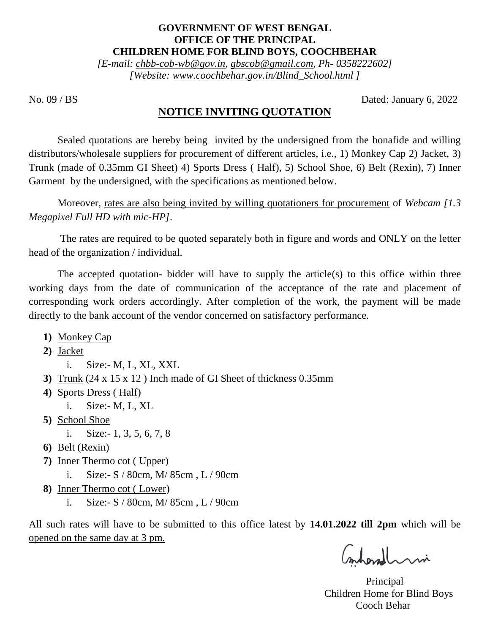## **GOVERNMENT OF WEST BENGAL OFFICE OF THE PRINCIPAL CHILDREN HOME FOR BLIND BOYS, COOCHBEHAR**

*[E-mail: [chbb-cob-wb@gov.in,](mailto:chbb-cob-wb@gov.in) [gbscob@gmail.com,](mailto:gbscob@gmail.com) Ph- 0358222602] [Website: [www.coochbehar.gov.in/Blind\\_School.html](http://www.coochbehar.gov.in/Blind_School.html) ]*

## No. 09 / BS Dated: January 6, 2022

## **NOTICE INVITING QUOTATION**

Sealed quotations are hereby being invited by the undersigned from the bonafide and willing distributors/wholesale suppliers for procurement of different articles, i.e., 1) Monkey Cap 2) Jacket, 3) Trunk (made of 0.35mm GI Sheet) 4) Sports Dress ( Half), 5) School Shoe, 6) Belt (Rexin), 7) Inner Garment by the undersigned, with the specifications as mentioned below.

Moreover, rates are also being invited by willing quotationers for procurement of *Webcam [1.3 Megapixel Full HD with mic-HP]*.

The rates are required to be quoted separately both in figure and words and ONLY on the letter head of the organization / individual.

The accepted quotation- bidder will have to supply the article(s) to this office within three working days from the date of communication of the acceptance of the rate and placement of corresponding work orders accordingly. After completion of the work, the payment will be made directly to the bank account of the vendor concerned on satisfactory performance.

- **1)** Monkey Cap
- **2)** Jacket
	- i. Size:- M, L, XL, XXL
- **3)** Trunk (24 x 15 x 12 ) Inch made of GI Sheet of thickness 0.35mm
- **4)** Sports Dress ( Half)
	- i. Size:- M, L, XL
- **5)** School Shoe
	- i. Size:- 1, 3, 5, 6, 7, 8
- **6)** Belt (Rexin)
- **7)** Inner Thermo cot ( Upper)
	- i. Size:- S / 80cm, M/ 85cm , L / 90cm
- **8)** Inner Thermo cot ( Lower)
	- i. Size:- S / 80cm, M/ 85cm , L / 90cm

All such rates will have to be submitted to this office latest by **14.01.2022 till 2pm** which will be opened on the same day at 3 pm.

Conhardhumi

**Principal**  Children Home for Blind Boys Cooch Behar